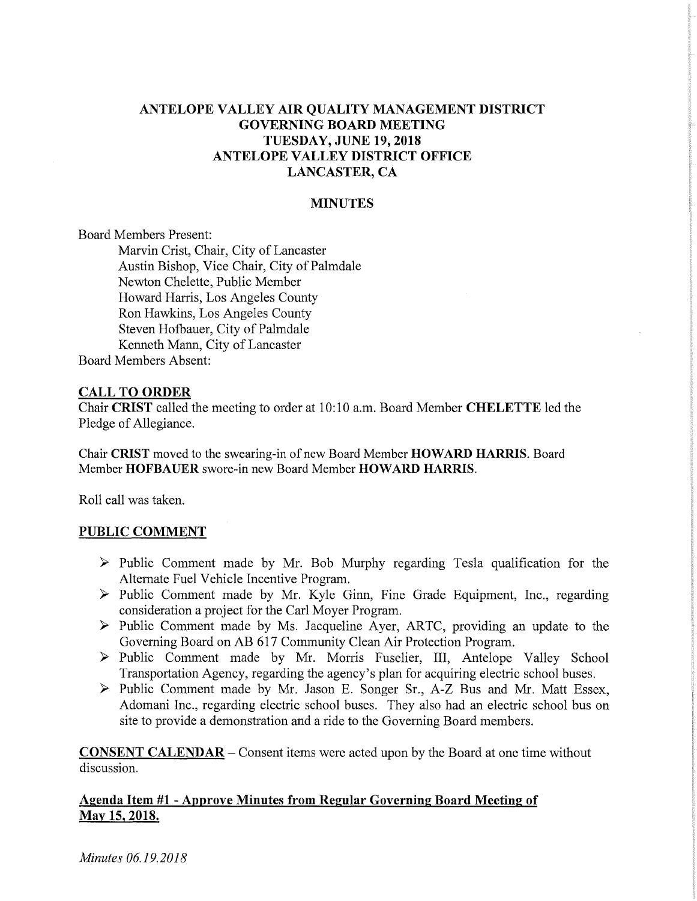# **ANTELOPE VALLEY AIR QUALITY MANAGEMENT DISTRICT GOVERNING BOARD MEETING TUESDAY, JUNE 19, 2018 ANTELOPE VALLEY DISTRICT OFFICE LANCASTER, CA**

#### **MINUTES**

Board Members Present:

Marvin Crist, Chair, City of Lancaster Austin Bishop, Vice Chair, City of Palmdale Newton Chelette, Public Member Howard Harris, Los Angeles County Ron Hawkins, Los Angeles County Steven Hofbauer, City of Palmdale Kenneth Mann, City of Lancaster Board Members Absent:

#### **CALL TO ORDER**

Chair **CRIST** called the meeting to order at 10:10 a.m. Board Member **CHELETTE** led the Pledge of Allegiance.

Chair **CRIST** moved to the swearing-in of new Board Member **HOWARD HARRIS.** Board Member **HOFBAUER** swore-in new Board Member **HOWARD HARRIS.** 

Roll call was taken.

#### **PUBLIC COMMENT**

- > Public Comment made by Mr. Bob Murphy regarding Tesla qualification for the Alternate Fuel Vehicle Incentive Program.
- $\triangleright$  Public Comment made by Mr. Kyle Ginn, Fine Grade Equipment, Inc., regarding consideration a project for the Carl Moyer Program.
- > Public Comment made by Ms. Jacqueline Ayer, ARTC, providing an update to the Governing Board on AB 617 Community Clean Air Protection Program.
- > Public Comment made by Mr. Morris Fuselier, III, Antelope Valley School Transportation Agency, regarding the agency's plan for acquiring electric school buses.
- > Public Comment made by Mr. Jason E. Songer Sr., A-Z Bus and Mr. Matt Essex, Adomani Inc., regarding electric school buses. They also had an electric school bus on site to provide a demonstration and a ride to the Governing Board members.

**CONSENT CALENDAR —** Consent items were acted upon by the Board at one time without discussion.

#### **Agenda Item #1 - Approve Minutes from Regular Governing Board Meeting of May 15, 2018.**

*Minutes 06.19.2018*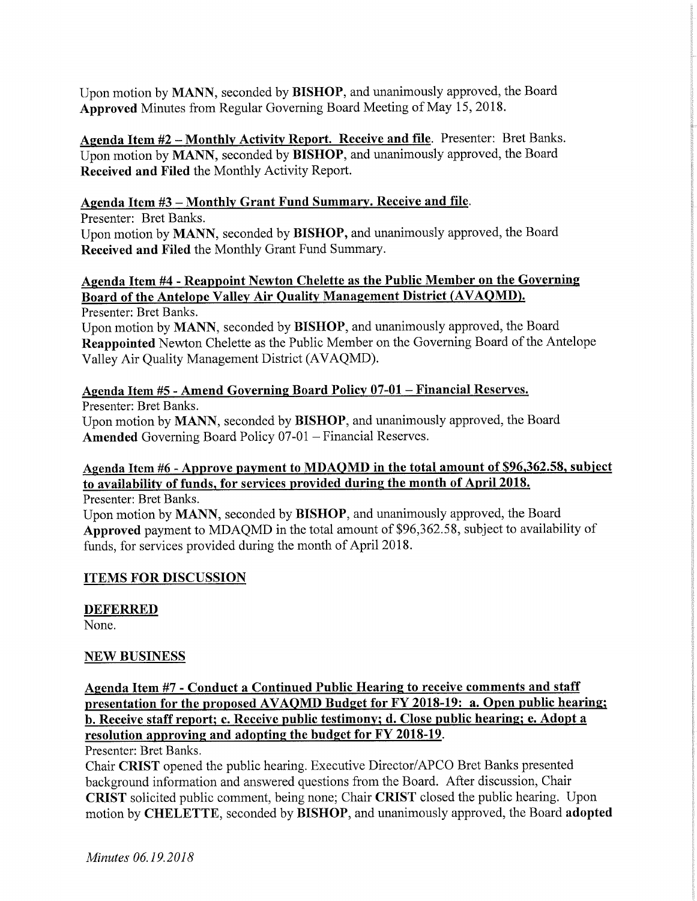Upon motion by **MANN,** seconded by **BISHOP,** and unanimously approved, the Board **Approved** Minutes from Regular Governing Board Meeting of May 15, 2018.

**Agenda Item #2 — Monthly Activity Report. Receive and file.** Presenter: Bret Banks. Upon motion by **MANN,** seconded by **BISHOP,** and unanimously approved, the Board **Received and Filed** the Monthly Activity Report.

# **Agenda Item #3 — Monthly Grant Fund Summary. Receive and file.**

Presenter: Bret Banks.

Upon motion by **MANN,** seconded by **BISHOP,** and unanimously approved, the Board **Received and Filed** the Monthly Grant Fund Summary

# **Agenda Item #4 - Reappoint Newton Chelette as the Public Member on the Governing Board of the Antelope Valley Air Quality Management District (AVAQMD).**

Presenter: Bret Banks.

Upon motion by **MANN,** seconded by **BISHOP,** and unanimously approved, the Board **Reappointed** Newton Chelette as the Public Member on the Governing Board of the Antelope Valley Air Quality Management District (AVAQMD).

# **Agenda Item #5 - Amend Governing Board Policy 07-01 — Financial Reserves.**

Presenter: Bret Banks.

Upon motion by **MANN,** seconded by **BISHOP,** and unanimously approved, the Board **Amended** Governing Board Policy 07-01 — Financial Reserves.

# **Agenda Item #6 - Approve payment to MDAQMD in the total amount of \$96,362.58, subject to availability of funds, for services provided during the month of April 2018.**

Presenter: Bret Banks.

Upon motion by **MANN,** seconded by **BISHOP,** and unanimously approved, the Board **Approved** payment to MDAQMD in the total amount of \$96,362.58, subject to availability of funds, for services provided during the month of April 2018.

# **ITEMS FOR DISCUSSION**

### **DEFERRED**

None.

# **NEW BUSINESS**

**Agenda Item #7 - Conduct a Continued Public Hearing to receive comments and staff presentation for the proposed AVAQMD Budget for FY 2018-19: a. Open public hearing; b. Receive staff report; c. Receive public testimony; d. Close public hearing; e. Adopt a resolution approving and adopting the budget for FY 2018-19.** 

Presenter: Bret Banks.

Chair **CRIST** opened the public hearing. Executive Director/APCO Bret Banks presented background information and answered questions from the Board. After discussion, Chair **CRIST** solicited public comment, being none; Chair **CRIST** closed the public hearing. Upon motion by **CHELETTE,** seconded by **BISHOP,** and unanimously approved, the Board **adopted**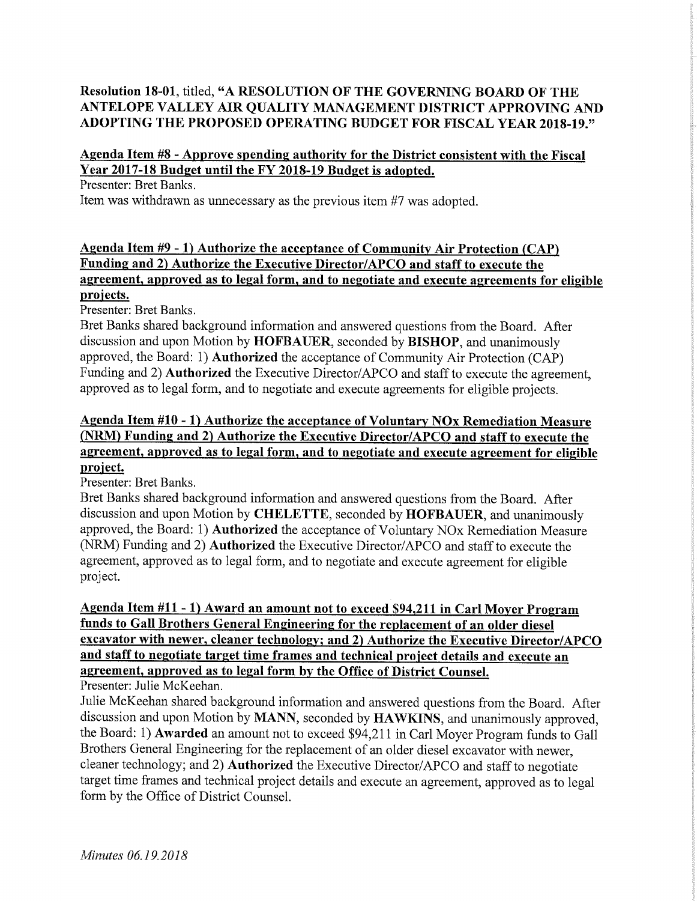# **Resolution 18-01,** titled, **"A RESOLUTION OF THE GOVERNING BOARD OF THE ANTELOPE VALLEY AIR QUALITY MANAGEMENT DISTRICT APPROVING AND ADOPTING THE PROPOSED OPERATING BUDGET FOR FISCAL YEAR 2018-19."**

# **Agenda Item #8 - Approve spending authority for the District consistent with the Fiscal Year 2017-18 Budget until the FY 2018-19 Budget is adopted.**

Presenter: Bret Banks.

Item was withdrawn as unnecessary as the previous item #7 was adopted.

# **Agenda Item #9 - 1) Authorize the acceptance of Community Air Protection (CAP) Funding and 2) Authorize the Executive Director/APCO and staff to execute the agreement, approved as to legal form, and to negotiate and execute agreements for eligible projects.**

Presenter: Bret Banks.

Bret Banks shared background information and answered questions from the Board. After discussion and upon Motion by **HOFBAUER,** seconded by **BISHOP,** and unanimously approved, the Board: 1) **Authorized** the acceptance of Community Air Protection (CAP) Funding and 2) **Authorized** the Executive Director/APCO and staff to execute the agreement, approved as to legal form, and to negotiate and execute agreements for eligible projects.

# **Agenda Item #10 - 1) Authorize the acceptance of Voluntary NOx Remediation Measure (NRM) Funding and 2) Authorize the Executive Director/APCO and staff to execute the agreement, approved as to legal form, and to negotiate and execute agreement for eligible project.**

Presenter: Bret Banks.

Bret Banks shared background information and answered questions from the Board. After discussion and upon Motion by **CHELETTE,** seconded by **HOFBAUER,** and unanimously approved, the Board: 1) **Authorized** the acceptance of Voluntary NOx Remediation Measure (NRM) Funding and 2) **Authorized** the Executive Director/APCO and staff to execute the agreement, approved as to legal form, and to negotiate and execute agreement for eligible project.

### **Agenda Item #11 - 1) Award an amount not to exceed \$94,211 in Carl Moyer Program funds to Gall Brothers General Engineering for the replacement of an older diesel excavator with newer, cleaner technology; and 2) Authorize the Executive Director/APCO and staff to negotiate target time frames and technical project details and execute an agreement, approved as to legal form by the Office of District Counsel.**  Presenter: Julie McKeehan.

Julie McKeehan shared background information and answered questions from the Board. After discussion and upon Motion by **MANN,** seconded by **HAWKINS,** and unanimously approved, the Board: 1) **Awarded** an amount not to exceed \$94,211 in Carl Moyer Program funds to Gall Brothers General Engineering for the replacement of an older diesel excavator with newer, cleaner technology; and 2) **Authorized** the Executive Director/APCO and staff to negotiate target time frames and technical project details and execute an agreement, approved as to legal form by the Office of District Counsel.